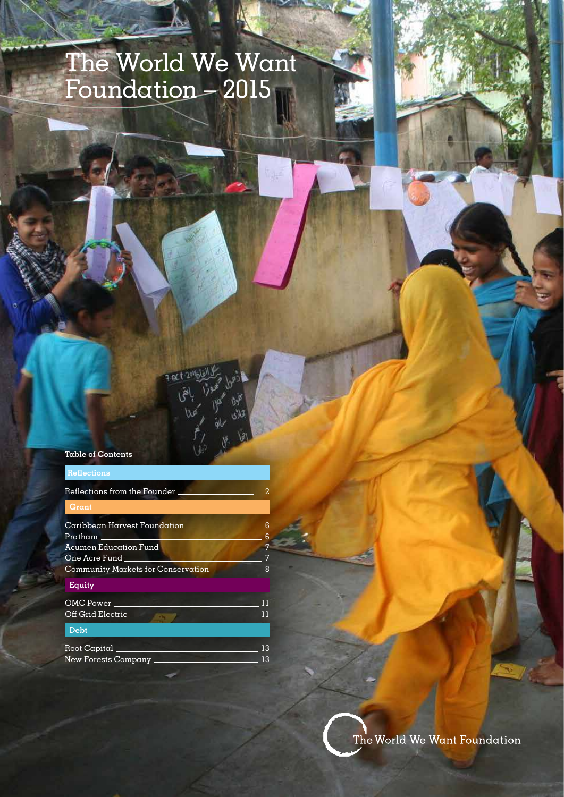# The World We Want Foundation – 2015

# **Table of Contents**

| <b>Reflections</b>                          |     |
|---------------------------------------------|-----|
| Reflections from the Founder                | 2   |
| Grant                                       |     |
| Caribbean Harvest Foundation                |     |
| Pratham                                     |     |
| Acumen Educαtion Fund του Επιλές του Καταστ |     |
| One Acre Fund ______                        |     |
| Community Markets for Conservation          | 8   |
| Equity                                      |     |
| OMC Power                                   | ו ו |
| Off Grid Electric                           |     |
| Debt                                        |     |
| Root Capital ________                       | 13  |
| New Forests Company                         | 13  |

 $7.001$ 

é.

| s Company _ |  | 0 ו |  |
|-------------|--|-----|--|
|             |  |     |  |
|             |  |     |  |

The World We Want Foundation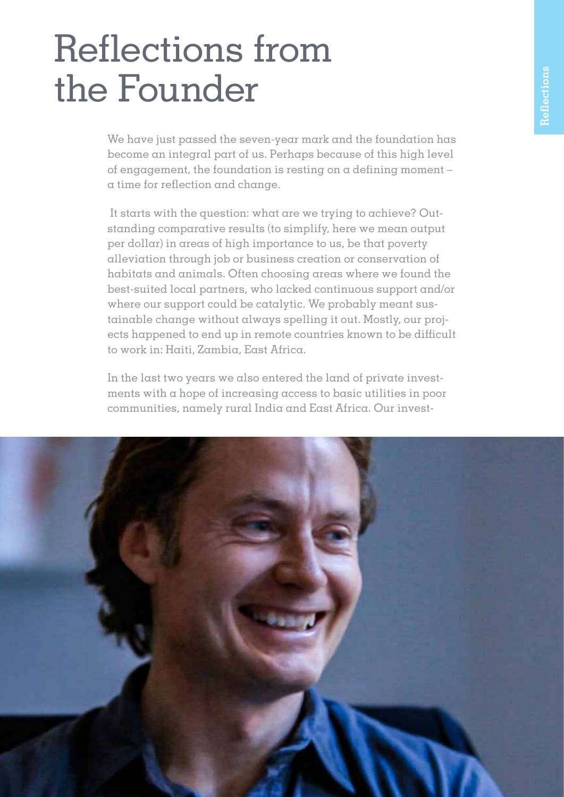# Reflections from the Founder

We have just passed the seven-year mark and the foundation has become an integral part of us. Perhaps because of this high level of engagement, the foundation is resting on  $\alpha$  defining moment – a time for reflection and change.

 It starts with the question: what are we trying to achieve? Outstanding comparative results (to simplify, here we mean output per dollar) in areas of high importance to us, be that poverty alleviation through job or business creation or conservation of habitats and animals. Often choosing areas where we found the best-suited local partners, who lacked continuous support and/or where our support could be catalytic. We probably meant sustainable change without always spelling it out. Mostly, our projects happened to end up in remote countries known to be difficult to work in: Haiti, Zambia, East Africa.

In the last two years we also entered the land of private investments with a hope of increasing access to basic utilities in poor communities, namely rural India and East Africa. Our invest-

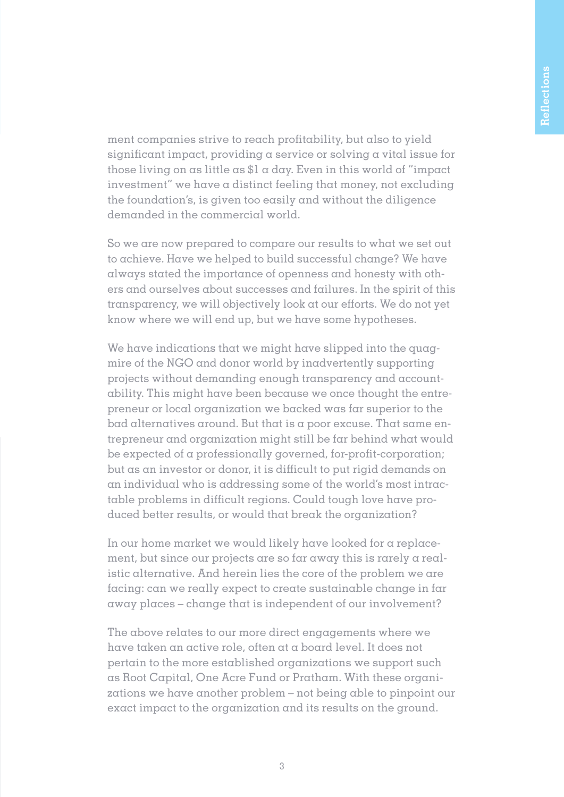ment companies strive to reach profitability, but also to yield significant impact, providing a service or solving a vital issue for those living on as little as \$1 a day. Even in this world of "impact investment" we have a distinct feeling that money, not excluding the foundation's, is given too easily and without the diligence demanded in the commercial world.

So we are now prepared to compare our results to what we set out to achieve. Have we helped to build successful change? We have always stated the importance of openness and honesty with others and ourselves about successes and failures. In the spirit of this transparency, we will objectively look at our efforts. We do not yet know where we will end up, but we have some hypotheses.

We have indications that we might have slipped into the quagmire of the NGO and donor world by inadvertently supporting projects without demanding enough transparency and accountability. This might have been because we once thought the entrepreneur or local organization we backed was far superior to the bad alternatives around. But that is a poor excuse. That same entrepreneur and organization might still be far behind what would be expected of a professionally governed, for-profit-corporation; but as an investor or donor, it is difficult to put rigid demands on an individual who is addressing some of the world's most intractable problems in difficult regions. Could tough love have produced better results, or would that break the organization?

In our home market we would likely have looked for a replacement, but since our projects are so far away this is rarely a realistic alternative. And herein lies the core of the problem we are facing: can we really expect to create sustainable change in far away places – change that is independent of our involvement?

The above relates to our more direct engagements where we have taken an active role, often at a board level. It does not pertain to the more established organizations we support such as Root Capital, One Acre Fund or Pratham. With these organizations we have another problem – not being able to pinpoint our exact impact to the organization and its results on the ground.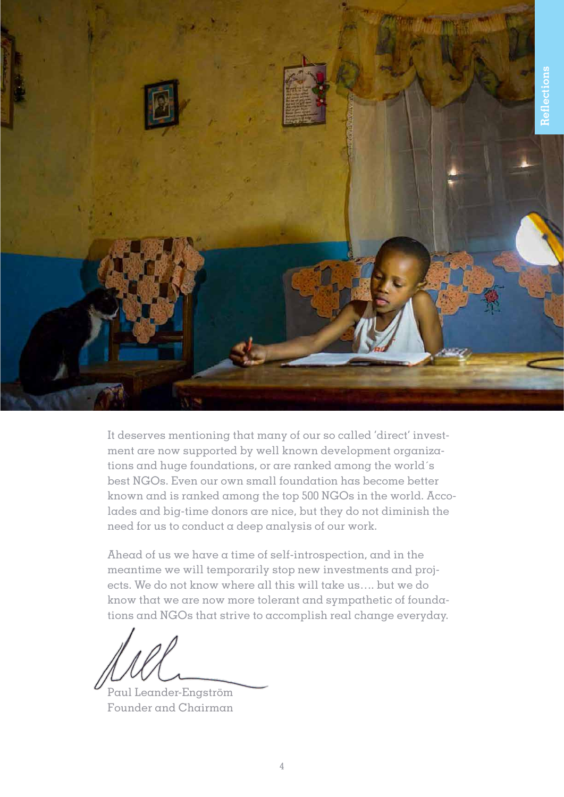

It deserves mentioning that many of our so called 'direct' investment are now supported by well known development organizations and huge foundations, or are ranked among the world´s best NGOs. Even our own small foundation has become better known and is ranked among the top 500 NGOs in the world. Accolades and big-time donors are nice, but they do not diminish the need for us to conduct a deep analysis of our work.

Ahead of us we have a time of self-introspection, and in the meantime we will temporarily stop new investments and projects. We do not know where all this will take us…. but we do know that we are now more tolerant and sympathetic of foundations and NGOs that strive to accomplish real change everyday.

Paul Leander-Engström Founder and Chairman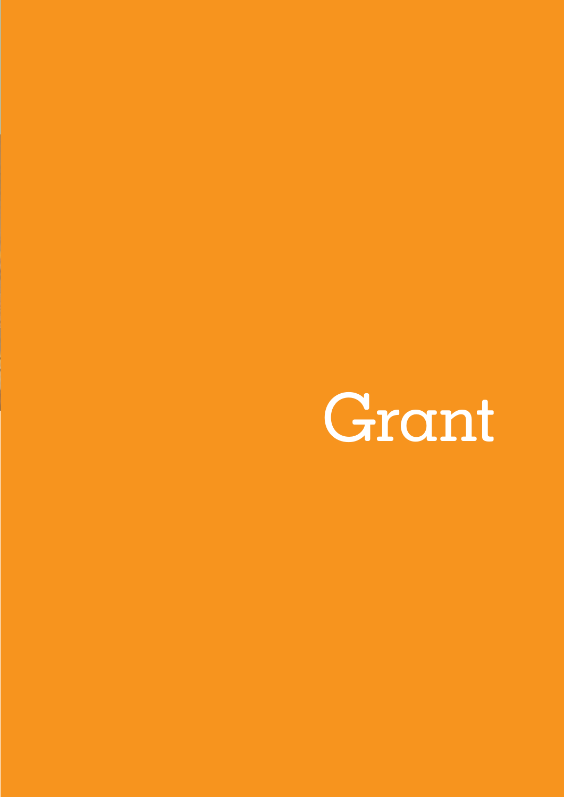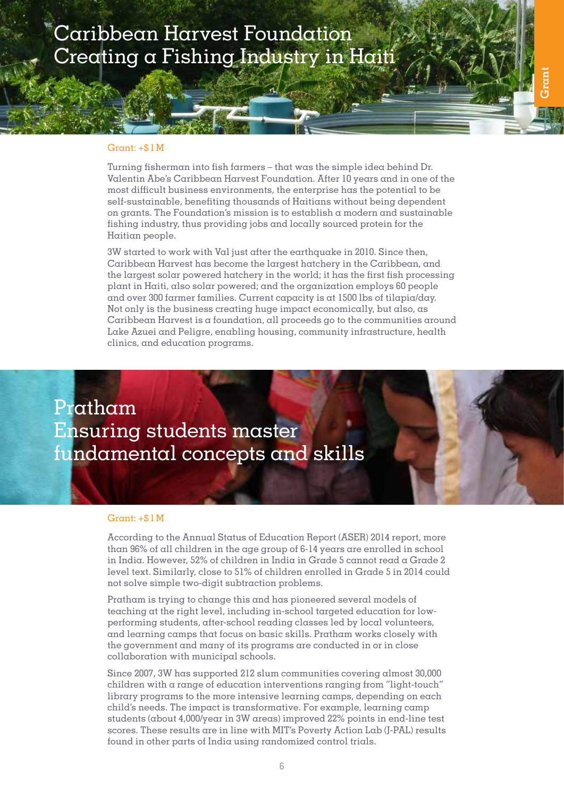# Caribbean Harvest Foundation Creating a Fishing Industry in Haiti

# Grant: +\$ 1M

Turning fisherman into fish farmers – that was the simple idea behind Dr. Valentin Abe's Caribbean Harvest Foundation. After 10 years and in one of the most difficult business environments, the enterprise has the potential to be self-sustainable, benefiting thousands of Haitians without being dependent on grants. The Foundation's mission is to establish a modern and sustainable fishing industry, thus providing jobs and locally sourced protein for the Haitian people.

**Grant**

3W started to work with Val just after the earthquake in 2010. Since then, Caribbean Harvest has become the largest hatchery in the Caribbean, and the largest solar powered hatchery in the world; it has the first fish processing plant in Haiti, also solar powered; and the organization employs 60 people and over 300 farmer families. Current capacity is at 1500 lbs of tilapia/day. Not only is the business creating huge impact economically, but also, as Caribbean Harvest is a foundation, all proceeds go to the communities around Lake Azuei and Peligre, enabling housing, community infrastructure, health clinics, and education programs.

Pratham Ensuring students master fundamental concepts and skills

### Grant: +\$ 1M

According to the Annual Status of Education Report (ASER) 2014 report, more than 96% of all children in the age group of 6-14 years are enrolled in school in India. However, 52% of children in India in Grade 5 cannot read a Grade 2 level text. Similarly, close to 51% of children enrolled in Grade 5 in 2014 could not solve simple two-digit subtraction problems.

Pratham is trying to change this and has pioneered several models of teaching at the right level, including in-school targeted education for lowperforming students, after-school reading classes led by local volunteers, and learning camps that focus on basic skills. Pratham works closely with the government and many of its programs are conducted in or in close collaboration with municipal schools.

Since 2007, 3W has supported 212 slum communities covering almost 30,000 children with a range of education interventions ranging from "light-touch" library programs to the more intensive learning camps, depending on each child's needs. The impact is transformative. For example, learning camp students (about 4,000/year in 3W areas) improved 22% points in end-line test scores. These results are in line with MIT's Poverty Action Lab (J-PAL) results found in other parts of India using randomized control trials.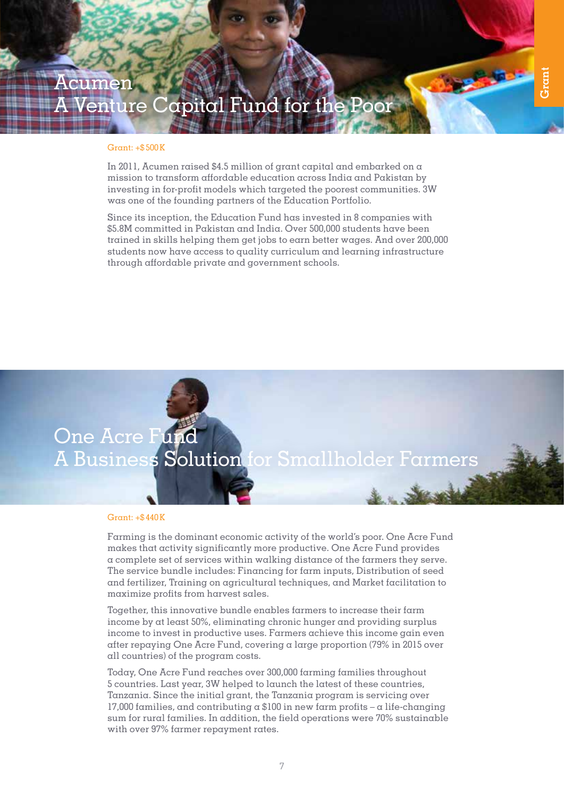# Acumen A Venture Capital Fund for the Poor

# Grant: +\$500K

In 2011, Acumen raised \$4.5 million of grant capital and embarked on a mission to transform affordable education across India and Pakistan by investing in for-profit models which targeted the poorest communities. 3W was one of the founding partners of the Education Portfolio.

Since its inception, the Education Fund has invested in 8 companies with \$5.8M committed in Pakistan and India. Over 500,000 students have been trained in skills helping them get jobs to earn better wages. And over 200,000 students now have access to quality curriculum and learning infrastructure through affordable private and government schools.

One Acre Fund A Business Solution for Smallholder Farmers

### Grant: +\$440K

Farming is the dominant economic activity of the world's poor. One Acre Fund makes that activity significantly more productive. One Acre Fund provides a complete set of services within walking distance of the farmers they serve. The service bundle includes: Financing for farm inputs, Distribution of seed and fertilizer, Training on agricultural techniques, and Market facilitation to maximize profits from harvest sales.

Together, this innovative bundle enables farmers to increase their farm income by at least 50%, eliminating chronic hunger and providing surplus income to invest in productive uses. Farmers achieve this income gain even after repaying One Acre Fund, covering a large proportion (79% in 2015 over all countries) of the program costs.

Today, One Acre Fund reaches over 300,000 farming families throughout 5 countries. Last year, 3W helped to launch the latest of these countries, Tanzania. Since the initial grant, the Tanzania program is servicing over 17,000 families, and contributing  $\alpha$  \$100 in new farm profits –  $\alpha$  life-changing sum for rural families. In addition, the field operations were 70% sustainable with over 97% farmer repayment rates.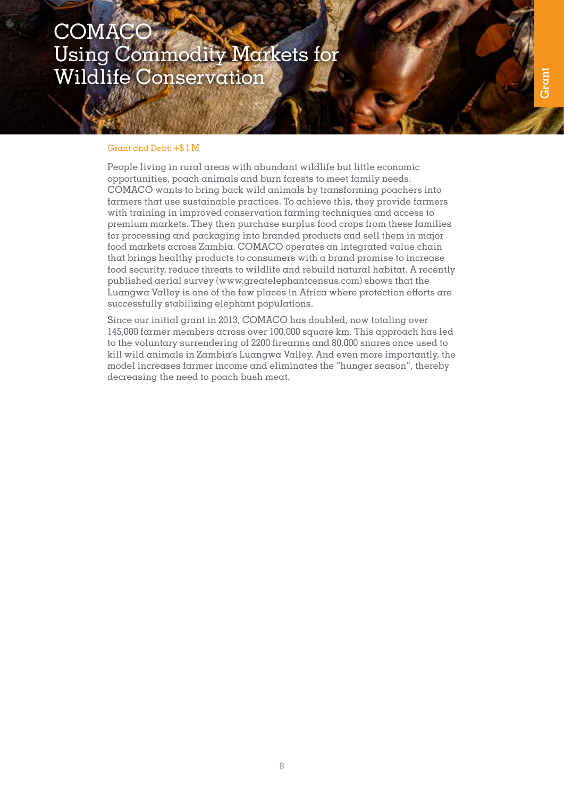# **COMACO** Using Commodity Markets for Wildlife Conservation

### Grant and Debt: +\$1M

People living in rural areas with abundant wildlife but little economic opportunities, poach animals and burn forests to meet family needs. COMACO wants to bring back wild animals by transforming poachers into farmers that use sustainable practices. To achieve this, they provide farmers with training in improved conservation farming techniques and access to premium markets. They then purchase surplus food crops from these families for processing and packaging into branded products and sell them in major food markets across Zambia. COMACO operates an integrated value chain that brings healthy products to consumers with a brand promise to increase food security, reduce threats to wildlife and rebuild natural habitat. A recently published aerial survey (www.greatelephantcensus.com) shows that the Luangwa Valley is one of the few places in Africa where protection efforts are successfully stabilizing elephant populations.

Since our initial grant in 2013, COMACO has doubled, now totaling over 145,000 farmer members across over 100,000 square km. This approach has led to the voluntary surrendering of 2200 firearms and 80,000 snares once used to kill wild animals in Zambia's Luangwa Valley. And even more importantly, the model increases farmer income and eliminates the "hunger season", thereby decreasing the need to poach bush meat.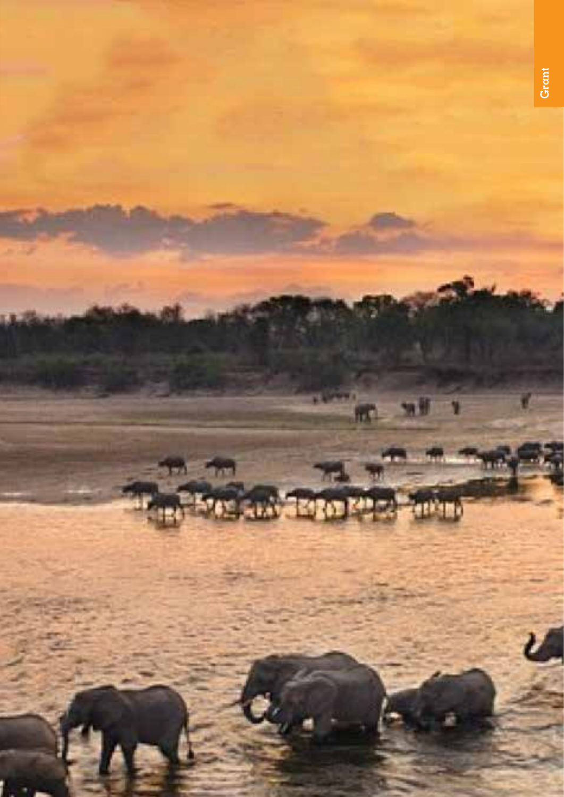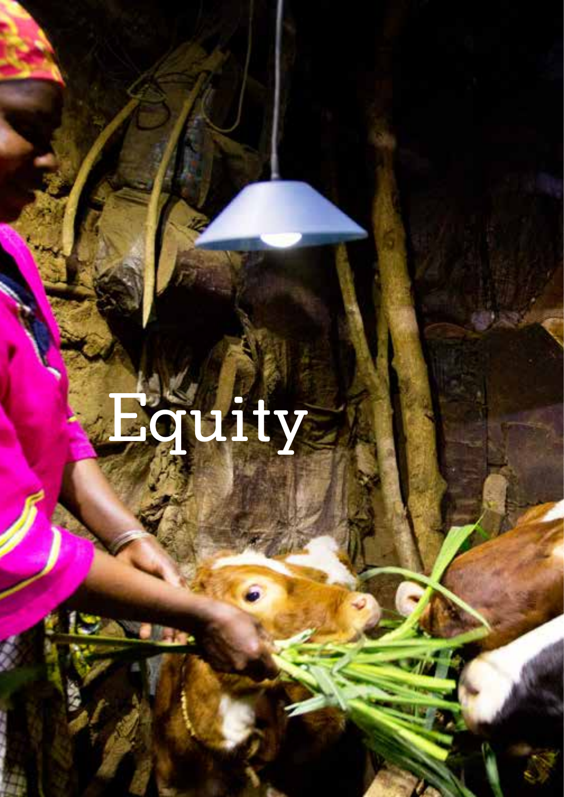# Equity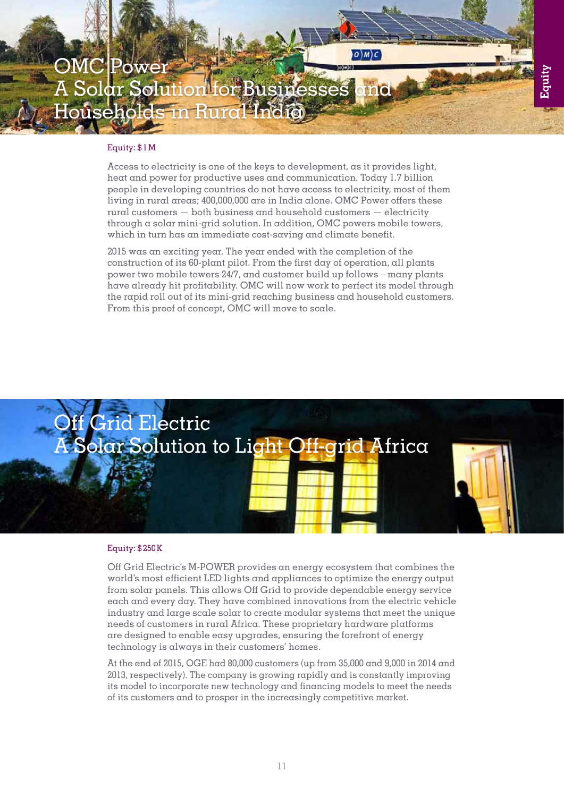

### Equity: \$1M

Access to electricity is one of the keys to development, as it provides light, heat and power for productive uses and communication. Today 1.7 billion people in developing countries do not have access to electricity, most of them living in rural areas; 400,000,000 are in India alone. OMC Power offers these rural customers — both business and household customers — electricity through a solar mini-grid solution. In addition, OMC powers mobile towers, which in turn has an immediate cost-saving and climate benefit.

2015 was an exciting year. The year ended with the completion of the construction of its 60-plant pilot. From the first day of operation, all plants power two mobile towers 24/7, and customer build up follows – many plants have already hit profitability. OMC will now work to perfect its model through the rapid roll out of its mini-grid reaching business and household customers. From this proof of concept, OMC will move to scale.



# Equity: \$250K

Off Grid Electric's M-POWER provides an energy ecosystem that combines the world's most efficient LED lights and appliances to optimize the energy output from solar panels. This allows Off Grid to provide dependable energy service each and every day. They have combined innovations from the electric vehicle industry and large scale solar to create modular systems that meet the unique needs of customers in rural Africa. These proprietary hardware platforms are designed to enable easy upgrades, ensuring the forefront of energy technology is always in their customers' homes.

At the end of 2015, OGE had 80,000 customers (up from 35,000 and 9,000 in 2014 and 2013, respectively). The company is growing rapidly and is constantly improving its model to incorporate new technology and financing models to meet the needs of its customers and to prosper in the increasingly competitive market.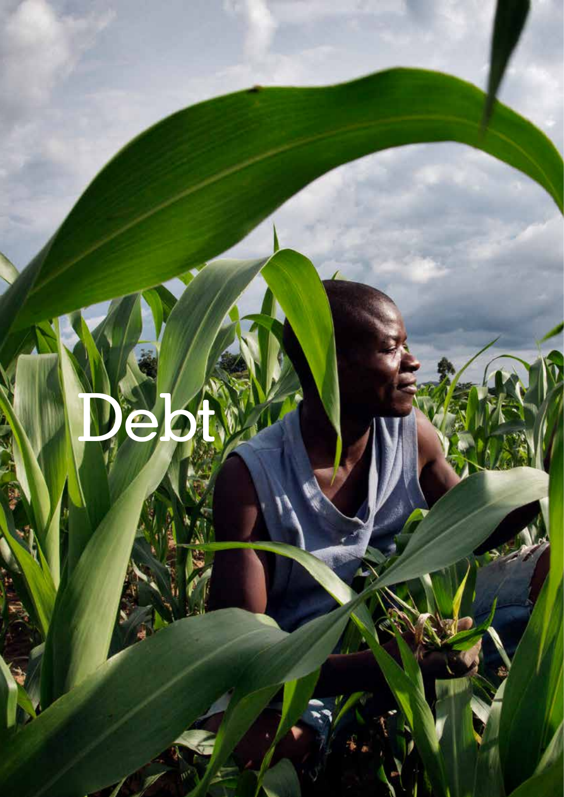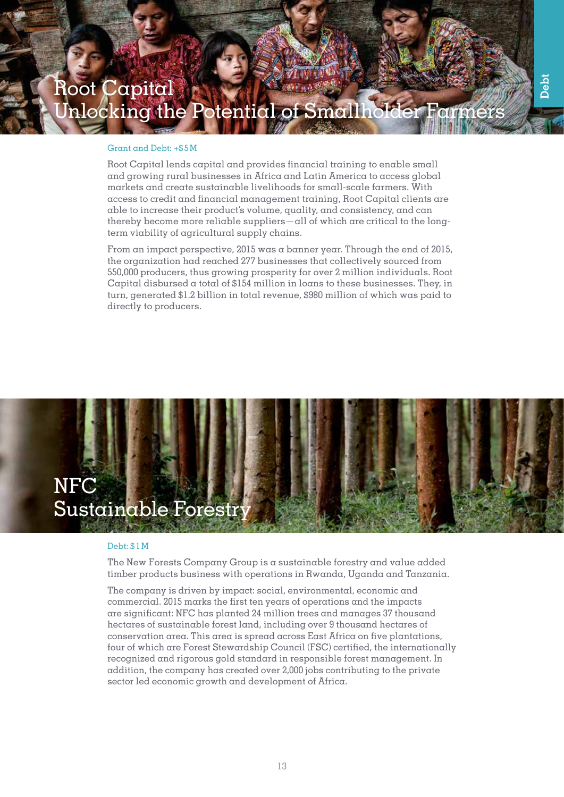# Root Capital Inlocking the Potential of Smallholder Farmers

### Grant and Debt: +\$5M

Root Capital lends capital and provides financial training to enable small and growing rural businesses in Africa and Latin America to access global markets and create sustainable livelihoods for small-scale farmers. With access to credit and financial management training, Root Capital clients are able to increase their product's volume, quality, and consistency, and can thereby become more reliable suppliers—all of which are critical to the longterm viability of agricultural supply chains.

From an impact perspective, 2015 was a banner year. Through the end of 2015, the organization had reached 277 businesses that collectively sourced from 550,000 producers, thus growing prosperity for over 2 million individuals. Root Capital disbursed a total of \$154 million in loans to these businesses. They, in turn, generated \$1.2 billion in total revenue, \$980 million of which was paid to directly to producers.



## Debt: \$1M

The New Forests Company Group is a sustainable forestry and value added timber products business with operations in Rwanda, Uganda and Tanzania.

The company is driven by impact: social, environmental, economic and commercial. 2015 marks the first ten years of operations and the impacts are significant: NFC has planted 24 million trees and manages 37 thousand hectares of sustainable forest land, including over 9 thousand hectares of conservation area. This area is spread across East Africa on five plantations, four of which are Forest Stewardship Council (FSC) certified, the internationally recognized and rigorous gold standard in responsible forest management. In addition, the company has created over 2,000 jobs contributing to the private sector led economic growth and development of Africa.